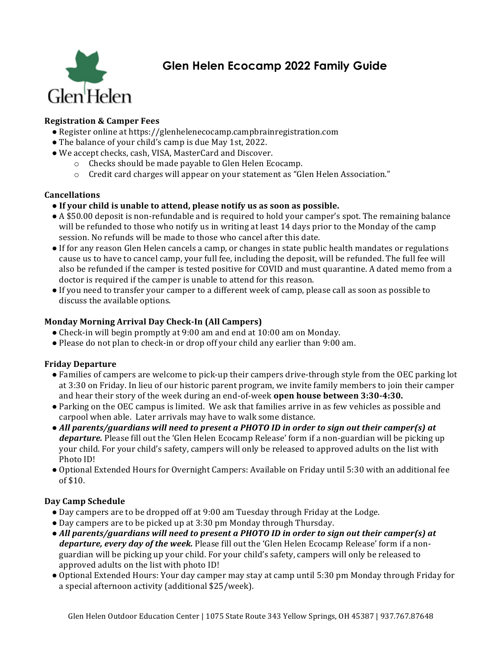

# **Glen Helen Ecocamp 2022 Family Guide**

# **Registration & Camper Fees**

- Register online at https://glenhelenecocamp.campbrainregistration.com
- The balance of your child's camp is due May 1st, 2022.
- We accept checks, cash, VISA, MasterCard and Discover.
	- $\circ$  Checks should be made payable to Glen Helen Ecocamp.
	- $\circ$  Credit card charges will appear on your statement as "Glen Helen Association."

### **Cancellations**

- If your child is unable to attend, please notify us as soon as possible.
- A \$50.00 deposit is non-refundable and is required to hold your camper's spot. The remaining balance will be refunded to those who notify us in writing at least 14 days prior to the Monday of the camp session. No refunds will be made to those who cancel after this date.
- If for any reason Glen Helen cancels a camp, or changes in state public health mandates or regulations cause us to have to cancel camp, your full fee, including the deposit, will be refunded. The full fee will also be refunded if the camper is tested positive for COVID and must quarantine. A dated memo from a doctor is required if the camper is unable to attend for this reason.
- If you need to transfer your camper to a different week of camp, please call as soon as possible to discuss the available options.

## **Monday Morning Arrival Day Check-In (All Campers)**

- Check-in will begin promptly at  $9:00$  am and end at  $10:00$  am on Monday.
- Please do not plan to check-in or drop off your child any earlier than 9:00 am.

## **Friday Departure**

- Families of campers are welcome to pick-up their campers drive-through style from the OEC parking lot at 3:30 on Friday. In lieu of our historic parent program, we invite family members to join their camper and hear their story of the week during an end-of-week **open house between** 3:30-4:30.
- Parking on the OEC campus is limited. We ask that families arrive in as few vehicles as possible and carpool when able. Later arrivals may have to walk some distance.
- All parents/guardians will need to present a PHOTO ID in order to sign out their camper(s) at *departure.* Please fill out the 'Glen Helen Ecocamp Release' form if a non-guardian will be picking up your child. For your child's safety, campers will only be released to approved adults on the list with Photo ID!
- Optional Extended Hours for Overnight Campers: Available on Friday until 5:30 with an additional fee of  $$10$ .

## **Day Camp Schedule**

- Day campers are to be dropped off at 9:00 am Tuesday through Friday at the Lodge.
- Day campers are to be picked up at 3:30 pm Monday through Thursday.
- All parents/guardians will need to present a PHOTO ID in order to sign out their camper(s) at *departure, every day of the week.* Please fill out the 'Glen Helen Ecocamp Release' form if a nonguardian will be picking up your child. For your child's safety, campers will only be released to approved adults on the list with photo ID!
- Optional Extended Hours: Your day camper may stay at camp until 5:30 pm Monday through Friday for a special afternoon activity (additional \$25/week).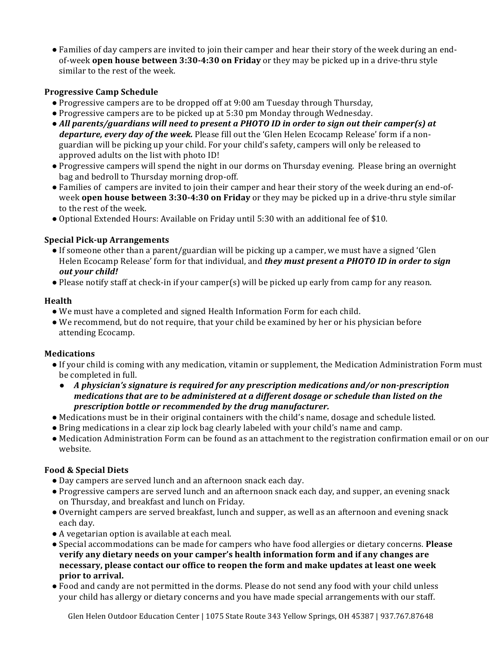• Families of day campers are invited to join their camper and hear their story of the week during an endof-week **open house between 3:30-4:30 on Friday** or they may be picked up in a drive-thru style similar to the rest of the week.

# **Progressive Camp Schedule**

- Progressive campers are to be dropped off at 9:00 am Tuesday through Thursday,
- Progressive campers are to be picked up at 5:30 pm Monday through Wednesday.
- All parents/guardians will need to present a PHOTO ID in order to sign out their camper(s) at *departure, every day of the week.* Please fill out the 'Glen Helen Ecocamp Release' form if a nonguardian will be picking up your child. For your child's safety, campers will only be released to approved adults on the list with photo ID!
- Progressive campers will spend the night in our dorms on Thursday evening. Please bring an overnight bag and bedroll to Thursday morning drop-off.
- Families of campers are invited to join their camper and hear their story of the week during an end-ofweek **open house between 3:30-4:30 on Friday** or they may be picked up in a drive-thru style similar to the rest of the week.
- Optional Extended Hours: Available on Friday until 5:30 with an additional fee of \$10.

# **Special Pick-up Arrangements**

- If someone other than a parent/guardian will be picking up a camper, we must have a signed 'Glen Helen Ecocamp Release' form for that individual, and *they must present a PHOTO ID in order to sign out your child!*
- Please notify staff at check-in if your camper(s) will be picked up early from camp for any reason.

## **Health**

- We must have a completed and signed Health Information Form for each child.
- We recommend, but do not require, that your child be examined by her or his physician before attending Ecocamp.

## **Medications**

- If your child is coming with any medication, vitamin or supplement, the Medication Administration Form must be completed in full.
	- A physician's signature is required for any prescription medications and/or non-prescription *medications that are to be administered at a different dosage or schedule than listed on the prescription bottle or recommended by the drug manufacturer.*
- Medications must be in their original containers with the child's name, dosage and schedule listed.
- Bring medications in a clear zip lock bag clearly labeled with your child's name and camp.
- Medication Administration Form can be found as an attachment to the registration confirmation email or on our website.

## **Food & Special Diets**

- Day campers are served lunch and an afternoon snack each day.
- Progressive campers are served lunch and an afternoon snack each day, and supper, an evening snack on Thursday, and breakfast and lunch on Friday.
- Overnight campers are served breakfast, lunch and supper, as well as an afternoon and evening snack each day.
- A vegetarian option is available at each meal.
- Special accommodations can be made for campers who have food allergies or dietary concerns. **Please** verify any dietary needs on your camper's health information form and if any changes are **necessary, please contact our office to reopen the form and make updates at least one week prior to arrival.**
- Food and candy are not permitted in the dorms. Please do not send any food with your child unless your child has allergy or dietary concerns and you have made special arrangements with our staff.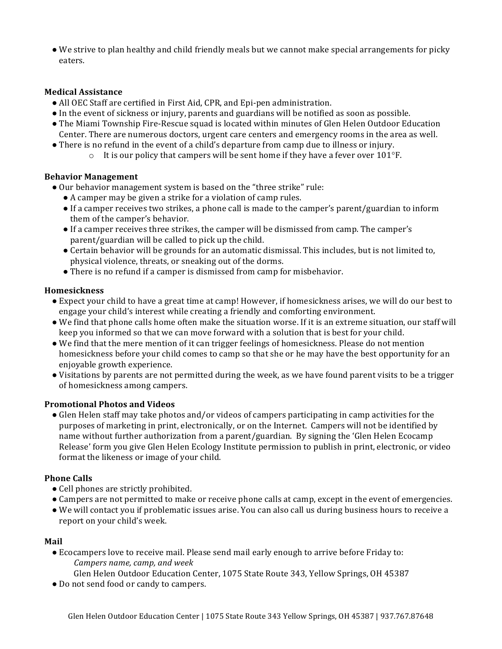• We strive to plan healthy and child friendly meals but we cannot make special arrangements for picky eaters.

### **Medical Assistance**

- All OEC Staff are certified in First Aid, CPR, and Epi-pen administration.
- In the event of sickness or injury, parents and guardians will be notified as soon as possible.
- The Miami Township Fire-Rescue squad is located within minutes of Glen Helen Outdoor Education Center. There are numerous doctors, urgent care centers and emergency rooms in the area as well.
- There is no refund in the event of a child's departure from camp due to illness or injury.
	- $\circ$  It is our policy that campers will be sent home if they have a fever over 101°F.

### **Behavior Management**

- Our behavior management system is based on the "three strike" rule:
	- A camper may be given a strike for a violation of camp rules.
	- If a camper receives two strikes, a phone call is made to the camper's parent/guardian to inform them of the camper's behavior.
	- If a camper receives three strikes, the camper will be dismissed from camp. The camper's parent/guardian will be called to pick up the child.
	- Certain behavior will be grounds for an automatic dismissal. This includes, but is not limited to, physical violence, threats, or sneaking out of the dorms.
	- There is no refund if a camper is dismissed from camp for misbehavior.

### **Homesickness**

- Expect your child to have a great time at camp! However, if homesickness arises, we will do our best to engage your child's interest while creating a friendly and comforting environment.
- We find that phone calls home often make the situation worse. If it is an extreme situation, our staff will keep you informed so that we can move forward with a solution that is best for your child.
- We find that the mere mention of it can trigger feelings of homesickness. Please do not mention homesickness before your child comes to camp so that she or he may have the best opportunity for an enjoyable growth experience.
- Visitations by parents are not permitted during the week, as we have found parent visits to be a trigger of homesickness among campers.

#### **Promotional Photos and Videos**

• Glen Helen staff may take photos and/or videos of campers participating in camp activities for the purposes of marketing in print, electronically, or on the Internet. Campers will not be identified by name without further authorization from a parent/guardian. By signing the 'Glen Helen Ecocamp Release' form you give Glen Helen Ecology Institute permission to publish in print, electronic, or video format the likeness or image of your child.

## **Phone Calls**

- Cell phones are strictly prohibited.
- Campers are not permitted to make or receive phone calls at camp, except in the event of emergencies.
- We will contact you if problematic issues arise. You can also call us during business hours to receive a report on your child's week.

#### **Mail**

• Ecocampers love to receive mail. Please send mail early enough to arrive before Friday to: *Campers name, camp, and week*

Glen Helen Outdoor Education Center, 1075 State Route 343, Yellow Springs, OH 45387

• Do not send food or candy to campers.